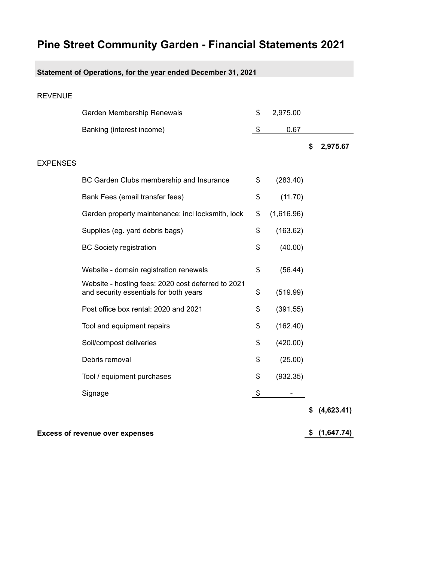## **Pine Street Community Garden - Financial Statements 2021**

## **Statement of Operations, for the year ended December 31, 2021**

| <b>REVENUE</b>  |                                                                                              |                                |                |
|-----------------|----------------------------------------------------------------------------------------------|--------------------------------|----------------|
|                 | Garden Membership Renewals                                                                   | \$<br>2,975.00                 |                |
|                 | Banking (interest income)                                                                    | \$<br>0.67                     |                |
|                 |                                                                                              |                                | \$<br>2,975.67 |
| <b>EXPENSES</b> |                                                                                              |                                |                |
|                 | BC Garden Clubs membership and Insurance                                                     | \$<br>(283.40)                 |                |
|                 | Bank Fees (email transfer fees)                                                              | \$<br>(11.70)                  |                |
|                 | Garden property maintenance: incl locksmith, lock                                            | \$<br>(1,616.96)               |                |
|                 | Supplies (eg. yard debris bags)                                                              | \$<br>(163.62)                 |                |
|                 | <b>BC Society registration</b>                                                               | \$<br>(40.00)                  |                |
|                 | Website - domain registration renewals                                                       | \$<br>(56.44)                  |                |
|                 | Website - hosting fees: 2020 cost deferred to 2021<br>and security essentials for both years | \$<br>(519.99)                 |                |
|                 | Post office box rental: 2020 and 2021                                                        | \$<br>(391.55)                 |                |
|                 | Tool and equipment repairs                                                                   | \$<br>(162.40)                 |                |
|                 | Soil/compost deliveries                                                                      | \$<br>(420.00)                 |                |
|                 | Debris removal                                                                               | \$<br>(25.00)                  |                |
|                 | Tool / equipment purchases                                                                   | \$<br>(932.35)                 |                |
|                 | Signage                                                                                      | \$<br>$\overline{\phantom{a}}$ |                |
|                 |                                                                                              |                                | (4,623.41)     |
|                 |                                                                                              |                                |                |

**Excess of revenue over expenses (\$ (1,647.74)**